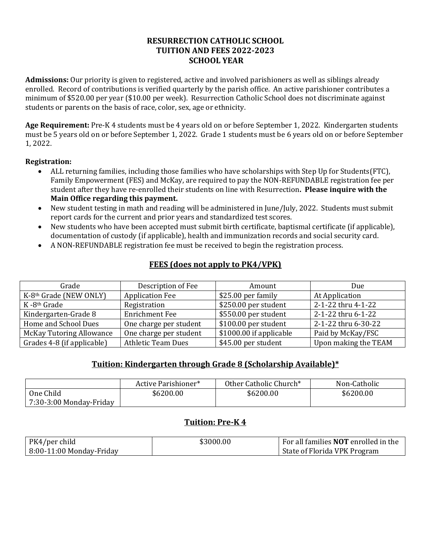# **RESURRECTION CATHOLIC SCHOOL TUITION AND FEES 2022-2023 SCHOOL YEAR**

**Admissions:** Our priority is given to registered, active and involved parishioners as well as siblings already enrolled. Record of contributions is verified quarterly by the parish office. An active parishioner contributes a minimum of \$520.00 per year (\$10.00 per week). Resurrection Catholic School does not discriminate against students or parents on the basis of race, color, sex, age or ethnicity.

**Age Requirement:** Pre-K 4 students must be 4 years old on or before September 1, 2022. Kindergarten students must be 5 years old on or before September 1, 2022. Grade 1 students must be 6 years old on or before September 1, 2022.

#### **Registration:**

- ALL returning families, including those families who have scholarships with Step Up for Students(FTC), Family Empowerment (FES) and McKay, are required to pay the NON-REFUNDABLE registration fee per student after they have re-enrolled their students on line with Resurrection**. Please inquire with the Main Office regarding this payment.**
- New student testing in math and reading will be administered in June/July, 2022. Students must submit report cards for the current and prior years and standardized test scores.
- New students who have been accepted must submit birth certificate, baptismal certificate (if applicable), documentation of custody (if applicable), health and immunization records and social security card.
- A NON-REFUNDABLE registration fee must be received to begin the registration process.

# **FEES (does not apply to PK4/VPK)**

| Grade                           | Description of Fee        | Amount                  | Due                  |
|---------------------------------|---------------------------|-------------------------|----------------------|
| K-8th Grade (NEW ONLY)          | <b>Application Fee</b>    | \$25.00 per family      | At Application       |
| K-8 <sup>th</sup> Grade         | Registration              | \$250.00 per student    | 2-1-22 thru 4-1-22   |
| Kindergarten-Grade 8            | <b>Enrichment Fee</b>     | \$550.00 per student    | 2-1-22 thru 6-1-22   |
| Home and School Dues            | One charge per student    | \$100.00 per student    | 2-1-22 thru 6-30-22  |
| <b>McKay Tutoring Allowance</b> | One charge per student    | \$1000.00 if applicable | Paid by McKay/FSC    |
| Grades 4-8 (if applicable)      | <b>Athletic Team Dues</b> | \$45.00 per student     | Upon making the TEAM |

# **Tuition: Kindergarten through Grade 8 (Scholarship Available)\***

|                                | Active Parishioner* | Other Catholic Church* | Non-Catholic |
|--------------------------------|---------------------|------------------------|--------------|
| One Child                      | \$6200.00           | \$6200.00              | \$6200.00    |
| $\mid$ 7:30-3:00 Monday-Friday |                     |                        |              |

# **Tuition: Pre-K 4**

| PK4/per child              | \$3000.00 | For all families <b>NOT</b> enrolled in the |
|----------------------------|-----------|---------------------------------------------|
| $8:00-11:00$ Monday-Friday |           | State of Florida VPK Program                |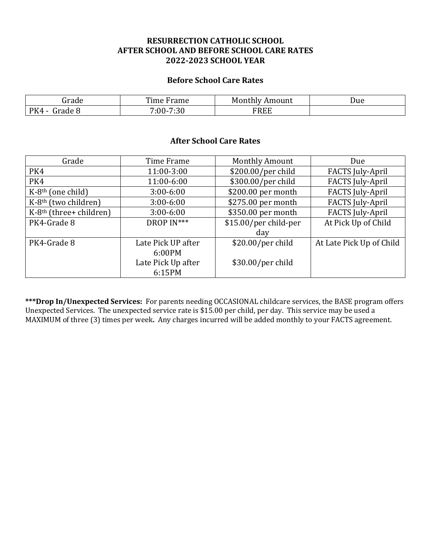# **RESURRECTION CATHOLIC SCHOOL AFTER SCHOOL AND BEFORE SCHOOL CARE RATES 2022-2023 SCHOOL YEAR**

#### **Before School Care Rates**

| irade          | Time Frame | Monthly<br>Amount | Due |
|----------------|------------|-------------------|-----|
| PK4<br>Frade 8 | 7:00-7:30  | FREE              |     |

#### **After School Care Rates**

| Grade                            | Time Frame         | <b>Monthly Amount</b> | Due                      |
|----------------------------------|--------------------|-----------------------|--------------------------|
| PK4                              | 11:00-3:00         | \$200.00/per child    | <b>FACTS</b> July-April  |
| PK4                              | 11:00-6:00         | \$300.00/per child    | <b>FACTS</b> July-April  |
| $K-8th$ (one child)              | $3:00 - 6:00$      | \$200.00 per month    | <b>FACTS</b> July-April  |
| K-8 <sup>th</sup> (two children) | $3:00 - 6:00$      | \$275.00 per month    | <b>FACTS</b> July-April  |
| $K-8th$ (three+ children)        | $3:00 - 6:00$      | \$350.00 per month    | <b>FACTS July-April</b>  |
| PK4-Grade 8                      | DROP IN***         | \$15.00/per child-per | At Pick Up of Child      |
|                                  |                    | day                   |                          |
| PK4-Grade 8                      | Late Pick UP after | \$20.00/per child     | At Late Pick Up of Child |
|                                  | 6:00PM             |                       |                          |
|                                  | Late Pick Up after | $$30.00/per$ child    |                          |
|                                  | 6:15PM             |                       |                          |

**\*\*\*Drop In/Unexpected Services:** For parents needing OCCASIONAL childcare services, the BASE program offers Unexpected Services. The unexpected service rate is \$15.00 per child, per day. This service may be used a MAXIMUM of three (3) times per week**.** Any charges incurred will be added monthly to your FACTS agreement.